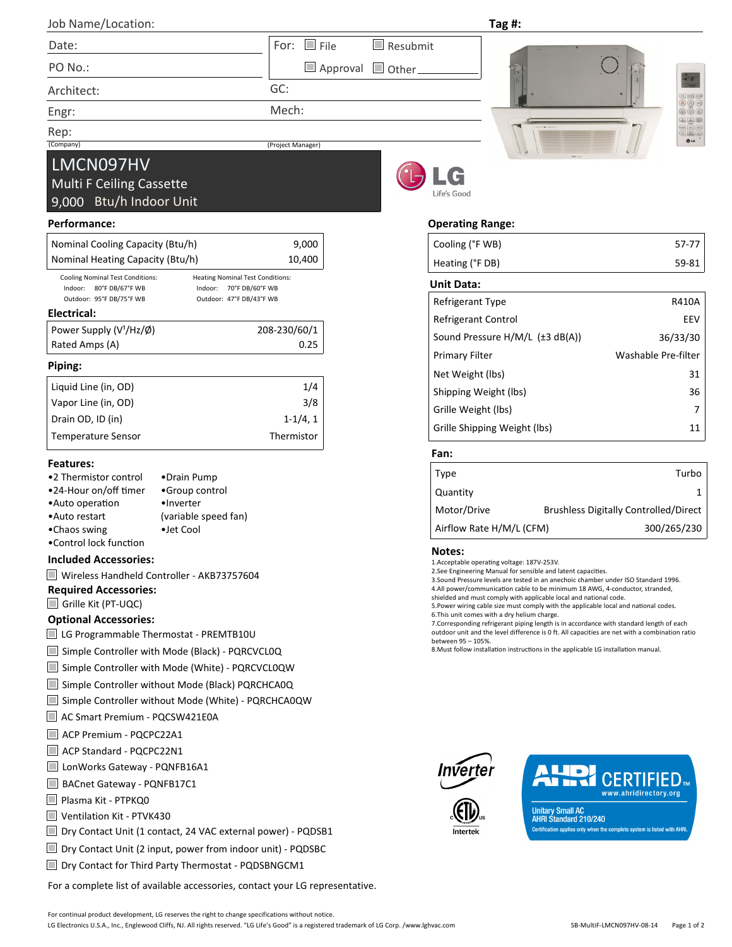| Job Name/Location: |                                     | Tag #: |                             |
|--------------------|-------------------------------------|--------|-----------------------------|
| Date:              | For: $\Box$ File<br>$\Box$ Resubmit |        | <b>County of the County</b> |
| PO No.:            | Approval Other                      |        |                             |
| Architact:         | GC:                                 |        |                             |

Mech:

(Project Manager)

Architect:

Engr:

Rep:<br>(Company)

# LMCN097HV

## Multi F Ceiling Cassette 9,000 Btu/h Indoor Unit

## **Performance:**

| Nominal Cooling Capacity (Btu/h)<br>9,000                                          |                            |  |  |  |  |  |  |
|------------------------------------------------------------------------------------|----------------------------|--|--|--|--|--|--|
|                                                                                    |                            |  |  |  |  |  |  |
| Nominal Heating Capacity (Btu/h)                                                   |                            |  |  |  |  |  |  |
| <b>Cooling Nominal Test Conditions:</b><br><b>Heating Nominal Test Conditions:</b> |                            |  |  |  |  |  |  |
| Indoor:<br>80°F DB/67°F WB                                                         | Indoor:<br>70°F DB/60°F WB |  |  |  |  |  |  |
| Outdoor: 95°F DB/75°F WB<br>Outdoor: 47°F DB/43°F WB                               |                            |  |  |  |  |  |  |
| Electrical:                                                                        |                            |  |  |  |  |  |  |
| Power Supply $(V1/Hz/\phi)$<br>208-230/60/1                                        |                            |  |  |  |  |  |  |
| Rated Amps (A)                                                                     |                            |  |  |  |  |  |  |
| Piping:                                                                            |                            |  |  |  |  |  |  |
| Liquid Line (in, OD)                                                               | 1/4                        |  |  |  |  |  |  |
| Vapor Line (in, OD)                                                                |                            |  |  |  |  |  |  |
| $1-1/4, 1$<br>Drain OD, ID (in)                                                    |                            |  |  |  |  |  |  |
| Thermistor<br>Temperature Sensor                                                   |                            |  |  |  |  |  |  |

#### **Features:**

| •2 Thermistor control  | •Drain Pump          |
|------------------------|----------------------|
| •24-Hour on/off timer  | •Group control       |
| •Auto operation        | •Inverter            |
| •Auto restart          | (variable speed fan) |
| •Chaos swing           | •Jet Cool            |
| •Control lock function |                      |

## **Included Accessories:**

|  |  |  |  |  | Wireless Handheld Controller - AKB73757604 |
|--|--|--|--|--|--------------------------------------------|
|--|--|--|--|--|--------------------------------------------|

**Required Accessories:**

Grille Kit (PT-UQC)

## **Optional Accessories:**

■ LG Programmable Thermostat - PREMTB10U

- Simple Controller with Mode (Black) PQRCVCL0Q
- Simple Controller with Mode (White) PQRCVCL0QW
- Simple Controller without Mode (Black) PQRCHCA0Q
- Simple Controller without Mode (White) PQRCHCA0QW
- AC Smart Premium PQCSW421E0A
- ACP Premium PQCPC22A1
- ACP Standard PQCPC22N1
- LonWorks Gateway PQNFB16A1
- BACnet Gateway PQNFB17C1
- Plasma Kit PTPKO0
- Ventilation Kit PTVK430
- Dry Contact Unit (1 contact, 24 VAC external power) PQDSB1
- Dry Contact Unit (2 input, power from indoor unit) PQDSBC
- Dry Contact for Third Party Thermostat PQDSBNGCM1

For a complete list of available accessories, contact your LG representative.



## **Operating Range:**

| Cooling (°F WB)                         | 57-77               |
|-----------------------------------------|---------------------|
| Heating (°F DB)                         | 59-81               |
| Unit Data:                              |                     |
| Refrigerant Type                        | <b>R410A</b>        |
| Refrigerant Control                     | EEV                 |
| Sound Pressure $H/M/L$ ( $\pm$ 3 dB(A)) | 36/33/30            |
| <b>Primary Filter</b>                   | Washable Pre-filter |
| Net Weight (lbs)                        | 31                  |
| Shipping Weight (lbs)                   | 36                  |
| Grille Weight (lbs)                     | 7                   |
| Grille Shipping Weight (lbs)            | 11                  |
|                                         |                     |

## **Fan:**

| Type                     | Turbo                                        |
|--------------------------|----------------------------------------------|
| Quantity                 |                                              |
| Motor/Drive              | <b>Brushless Digitally Controlled/Direct</b> |
| Airflow Rate H/M/L (CFM) | 300/265/230                                  |

#### **Notes:**

1.Acceptable operating voltage: 187V-253V.

2.See Engineering Manual for sensible and latent capacities.

3.Sound Pressure levels are tested in an anechoic chamber under ISO Standard 1996. 4.All power/communication cable to be minimum 18 AWG, 4-conductor, stranded,

shielded and must comply with applicable local and national code.

5. Power wiring cable size must comply with the applicable local and national codes. 6.This unit comes with a dry helium charge.

7.Corresponding refrigerant piping length is in accordance with standard length of each outdoor unit and the level difference is 0 ft. All capacities are net with a combination ratio

between 95 – 105%.

8. Must follow installation instructions in the applicable LG installation manual.





**Unitary Small AC<br>AHRI Standard 210/240** Certification applies only when the complete system is listed with AHRI